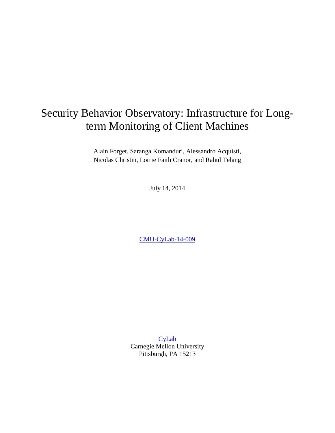# Security Behavior Observatory: Infrastructure for Longterm Monitoring of Client Machines

Alain Forget, Saranga Komanduri, Alessandro Acquisti, Nicolas Christin, Lorrie Faith Cranor, and Rahul Telang

July 14, 2014

[CMU-CyLab-14-009](http://www.cylab.cmu.edu/research/techreports/2014/tr_cylab14009.html)

**[CyLab](http://www.cylab.cmu.edu/)** Carnegie Mellon University Pittsburgh, PA 15213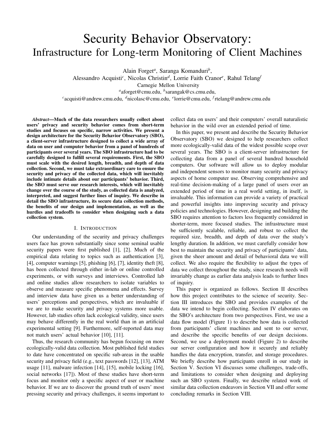# Security Behavior Observatory: Infrastructure for Long-term Monitoring of Client Machines

Alain Forget*<sup>a</sup>* , Saranga Komanduri*<sup>b</sup>* ,

Alessandro Acquisti*<sup>c</sup>* , Nicolas Christin*<sup>d</sup>* , Lorrie Faith Cranor*<sup>e</sup>* , Rahul Telang*<sup>f</sup>*

Carnegie Mellon University

*a* aforget@cmu.edu, *<sup>b</sup>* sarangak@cs.cmu.edu,

*c* acquisti@andrew.cmu.edu, *<sup>d</sup>*nicolasc@cmu.edu, *<sup>e</sup>* lorrie@cmu.edu, *<sup>f</sup>* rtelang@andrew.cmu.edu

*Abstract*—Much of the data researchers usually collect about users' privacy and security behavior comes from short-term studies and focuses on specific, narrow activities. We present a design architecture for the Security Behavior Observatory (SBO), a client-server infrastructure designed to collect a wide array of data on user and computer behavior from a panel of hundreds of participants over several years. The SBO infrastructure had to be carefully designed to fulfill several requirements. First, the SBO must scale with the desired length, breadth, and depth of data collection. Second, we must take extraordinary care to ensure the security and privacy of the collected data, which will inevitably include intimate details about our participants' behavior. Third, the SBO must serve our research interests, which will inevitably change over the course of the study, as collected data is analyzed, interpreted, and suggest further lines of inquiry. We describe in detail the SBO infrastructure, its secure data collection methods, the benefits of our design and implementation, as well as the hurdles and tradeoffs to consider when designing such a data collection system.

## I. INTRODUCTION

Our understanding of the security and privacy challenges users face has grown substantially since some seminal usable security papers were first published [\[1\]](#page-10-0), [\[2\]](#page-10-1). Much of the empirical data relating to topics such as authentication [\[3\]](#page-10-2), [\[4\]](#page-10-3), computer warnings [\[5\]](#page-10-4), phishing [\[6\]](#page-10-5), [\[7\]](#page-10-6), identity theft [\[8\]](#page-10-7), has been collected through either in-lab or online controlled experiments, or with surveys and interviews. Controlled lab and online studies allow researchers to isolate variables to observe and measure specific phenomena and effects. Survey and interview data have given us a better understanding of users' perceptions and perspectives, which are invaluable if we are to make security and privacy systems more usable. However, lab studies often lack ecological validity, since users may behave differently in the real world than in an artificial experimental setting [\[9\]](#page-10-8). Furthermore, self-reported data may not match users' actual behavior [\[10\]](#page-10-9), [\[11\]](#page-10-10).

Thus, the research community has begun focusing on more ecologically-valid data collection. Most published field studies to date have concentrated on specific sub-areas in the usable security and privacy field (e.g., text passwords [\[12\]](#page-10-11), [\[13\]](#page-10-12), ATM usage [\[11\]](#page-10-10), malware infection [\[14\]](#page-10-13), [\[15\]](#page-10-14), mobile locking [\[16\]](#page-10-15), social networks [\[17\]](#page-10-16)). Most of these studies have short-term focus and monitor only a specific aspect of user or machine behavior. If we are to discover the ground truth of users' most pressing security and privacy challenges, it seems important to

collect data on users' and their computers' overall naturalistic behavior in the wild over an extended period of time.

In this paper, we present and describe the Security Behavior Observatory (SBO) we designed to help researchers collect more ecologically-valid data of the widest possible scope over several years. The SBO is a client-server infrastructure for collecting data from a panel of several hundred household computers. Our software will allow us to deploy modular and independent sensors to monitor many security and privacy aspects of home computer use. Observing comprehensive and real-time decision-making of a large panel of users over an extended period of time in a real world setting, in itself, is invaluable. This information can provide a variety of practical and powerful insights into improving security and privacy policies and technologies. However, designing and building the SBO requires attention to factors less frequently considered in shorter-term, more focused studies. The infrastructure must be sufficiently scalable, reliable, and robust to collect the required size, breadth, and depth of data over the study's lengthy duration. In addition, we must carefully consider how best to maintain the security and privacy of participants' data, given the sheer amount and detail of behavioral data we will collect. We also require the flexibility to adjust the types of data we collect throughout the study, since research needs will invariably change as earlier data analysis leads to further lines of inquiry.

This paper is organized as follows. Section [II](#page-2-0) describes how this project contributes to the science of security. Section [III](#page-2-1) introduces the SBO and provides examples of the data we intend to begin collecting. Section [IV](#page-3-0) elaborates on the SBO's architecture from two perspectives. First, we use a data flow model (Figure [1\)](#page-3-1) to describe how data is collected from participants' client machines and sent to our server, and describe the specific benefits of our design decisions. Second, we use a deployment model (Figure [2\)](#page-5-0) to describe our server configuration and how it securely and reliably handles the data encryption, transfer, and storage procedures. We briefly describe how participants enroll in our study in Section [V.](#page-5-1) Section [VI](#page-6-0) discusses some challenges, trade-offs, and limitations to consider when designing and deploying such an SBO system. Finally, we describe related work of similar data collection endeavors in Section [VII](#page-8-0) and offer some concluding remarks in Section [VIII.](#page-9-0)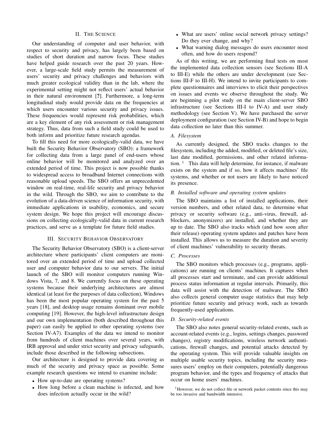#### II. THE SCIENCE

<span id="page-2-0"></span>Our understanding of computer and user behavior, with respect to security and privacy, has largely been based on studies of short duration and narrow focus. These studies have helped guide research over the past 20 years. However, a large-scale field study permits the measurement of users' security and privacy challenges and behaviors with much greater ecological validity than in the lab, where the experimental setting might not reflect users' actual behavior in their natural environment [?]. Furthermore, a long-term longitudinal study would provide data on the frequencies at which users encounter various security and privacy issues. These frequencies would represent risk probabilities, which are a key element of any risk assessment or risk management strategy. Thus, data from such a field study could be used to both inform and prioritize future research agendas.

To fill this need for more ecologically-valid data, we have built the Security Behavior Observatory (SBO): a framework for collecting data from a large panel of end-users whose online behavior will be monitored and analyzed over an extended period of time. This project is now possible thanks to widespread access to broadband Internet connections with reasonable upload speeds. The SBO offers an unprecedented window on real-time, real-life security and privacy behavior in the wild. Through the SBO, we aim to contribute to the evolution of a data-driven science of information security, with immediate applications in usability, economics, and secure system design. We hope this project will encourage discussions on collecting ecologically-valid data in current research practices, and serve as a template for future field studies.

# III. SECURITY BEHAVIOR OBSERVATORY

<span id="page-2-1"></span>The Security Behavior Observatory (SBO) is a client-server architecture where participants' client computers are monitored over an extended period of time and upload collected user and computer behavior data to our servers. The initial launch of the SBO will monitor computers running Windows Vista, 7, and 8. We currently focus on these operating systems because their underlying architectures are almost identical (at least for the purposes of data collection), Windows has been the most popular operating system for the past 5 years [\[18\]](#page-10-17), and desktop usage remains dominant over mobile computing [\[19\]](#page-10-18). However, the high-level infrastructure design and our own implementation (both described throughout this paper) can easily be applied to other operating systems (see Section [IV-A7\)](#page-4-0). Examples of the data we intend to monitor from hundreds of client machines over several years, with IRB approval and under strict security and privacy safeguards, include those described in the following subsections.

Our architecture is designed to provide data covering as much of the security and privacy space as possible. Some example research questions we intend to examine include:

- How up-to-date are operating systems?
- How long before a clean machine is infected, and how does infection actually occur in the wild?
- What are users' online social network privacy settings? Do they ever change, and why?
- What warning dialog messages do users encounter most often, and how do users respond?

As of this writing, we are performing final tests on most the implemented data collection sensors (see Sections [III-A](#page-2-2) to [III-E\)](#page-3-2) while the others are under development (see Sections [III-F](#page-3-3) to [III-H\)](#page-3-4). We intend to invite participants to complete questionnaires and interviews to elicit their perspectives on issues and events we observe throughout the study. We are beginning a pilot study on the main client-server SBO infrastructure (see Sections [III-I](#page-3-5) to [IV-A\)](#page-3-6) and user study methodology (see Section [V\)](#page-5-1). We have purchased the server deployment configuration (see Section [IV-B\)](#page-4-1) and hope to begin data collection no later than this summer.

# <span id="page-2-2"></span>*A. Filesystem*

As currently designed, the SBO tracks changes to the filesystem, including the added, modified, or deleted file's size, last date modified, permissions, and other related information.  $\frac{1}{1}$  $\frac{1}{1}$  $\frac{1}{1}$  This data will help determine, for instance, if malware exists on the system and if so, how it affects machines' file systems, and whether or not users are likely to have noticed its presence.

## <span id="page-2-4"></span>*B. Installed software and operating system updates*

The SBO maintains a list of installed applications, their version numbers, and other related data, to determine what privacy or security software (e.g., anti-virus, firewall, adblockers, anonymizers) are installed, and whether they are up to date. The SBO also tracks which (and how soon after their release) operating system updates and patches have been installed. This allows us to measure the duration and severity of client machines' vulnerability to security threats.

# *C. Processes*

The SBO monitors which processes (e.g., programs, applications) are running on clients' machines. It captures when all processes start and terminate, and can provide additional process status information at regular intervals. Primarily, this data will assist with the detection of malware. The SBO also collects general computer usage statistics that may help prioritize future security and privacy work, such as towards frequently-used applications.

## *D. Security-related events*

The SBO also notes general security-related events, such as account-related events (e.g., logins, settings changes, password changes), registry modifications, wireless network authentications, firewall changes, and potential attacks detected by the operating system. This will provide valuable insights on multiple usable security topics, including the security measures users' employ on their computers, potentially dangerous program behavior, and the types and frequency of attacks that occur on home users' machines.

<span id="page-2-3"></span><sup>&</sup>lt;sup>1</sup>However, we do not collect file or network packet contents since this may be too invasive and bandwidth intensive.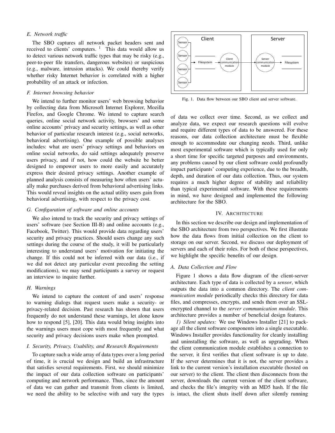# <span id="page-3-2"></span>*E. Network traffic*

The SBO captures all network packet headers sent and received to clients' computers.  $1$  This data would allow us to detect various network traffic types that may be risky (e.g., peer-to-peer file transfers, dangerous websites) or suspicious (e.g., malware, intrusion attacks). We could thereby verify whether risky Internet behavior is correlated with a higher probability of an attack or infection.

## <span id="page-3-3"></span>*F. Internet browsing behavior*

We intend to further monitor users' web browsing behavior by collecting data from Microsoft Internet Explorer, Mozilla Firefox, and Google Chrome. We intend to capture search queries, online social network activity, browsers' and some online accounts' privacy and security settings, as well as other behavior of particular research interest (e.g., social networks, behavioral advertising). One example of possible analyses includes: what are users' privacy settings and behaviors on online social networks, do said settings adequately preserve users privacy, and if not, how could the website be better designed to empower users to more easily and accurately express their desired privacy settings. Another example of planned analysis consists of measuring how often users' actually make purchases derived from behavioral advertising links. This would reveal insights on the actual utility users gain from behavioral advertising, with respect to the privacy cost.

# *G. Configuration of software and online accounts*

We also intend to track the security and privacy settings of users' software (see Section [III-B\)](#page-2-4) and online accounts (e.g., Facebook, Twitter). This would provide data regarding users' security and privacy practices. Should users change any such settings during the course of the study, it will be particularly interesting to understand users' motivation for initiating the change. If this could not be inferred with our data (i.e., if we did not detect any particular event preceding the setting modifications), we may send participants a survey or request an interview to inquire further.

# <span id="page-3-4"></span>*H. Warnings*

We intend to capture the content of and users' response to warning dialogs that request users make a security- or privacy-related decision. Past research has shown that users frequently do not understand these warnings, let alone know how to respond [\[5\]](#page-10-4), [\[20\]](#page-10-19). This data would bring insights into the warnings users must cope with most frequently and what security and privacy decisions users make when prompted.

# <span id="page-3-5"></span>*I. Security, Privacy, Usability, and Research Requirements*

To capture such a wide array of data types over a long period of time, it is crucial we design and build an infrastructure that satisfies several requirements. First, we should minimize the impact of our data collection software on participants' computing and network performance. Thus, since the amount of data we can gather and transmit from clients is limited, we need the ability to be selective with and vary the types



<span id="page-3-1"></span>Fig. 1. Data flow between our SBO client and server software.

of data we collect over time. Second, as we collect and analyze data, we expect our research questions will evolve and require different types of data to be answered. For these reasons, our data collection architecture must be flexible enough to accommodate our changing needs. Third, unlike most experimental software which is typically used for only a short time for specific targeted purposes and environments, any problems caused by our client software could profoundly impact participants' computing experience, due to the breadth, depth, and duration of our data collection. Thus, our system requires a much higher degree of stability and reliability than typical experimental software. With these requirements in mind, we have designed and implemented the following architecture for the SBO.

# IV. ARCHITECTURE

<span id="page-3-0"></span>In this section we describe our design and implementation of the SBO architecture from two perspectives. We first illustrate how the data flows from initial collection on the client to storage on our server. Second, we discuss our deployment of servers and each of their roles. For both of these perspectives, we highlight the specific benefits of our design.

#### <span id="page-3-6"></span>*A. Data Collection and Flow*

Figure [1](#page-3-1) shows a data flow diagram of the client-server architecture. Each type of data is collected by a *sensor*, which outputs the data into a common directory. The *client communication module* periodically checks this directory for data files, and compresses, encrypts, and sends them over an SSLencrypted channel to the *server communication module*. This architecture provides a number of beneficial design features.

<span id="page-3-7"></span>*1) Silent updates:* We use Windows Installer [\[21\]](#page-10-20) to package all the client software components into a single executable. Windows Installer provides functionality for cleanly installing and uninstalling the software, as well as upgrading. When the client communication module establishes a connection to the server, it first verifies that client software is up to date. If the server determines that it is not, the server provides a link to the current version's installation executable (hosted on our server) to the client. The client then disconnects from the server, downloads the current version of the client software, and checks the file's integrity with an MD5 hash. If the file is intact, the client shuts itself down after silently running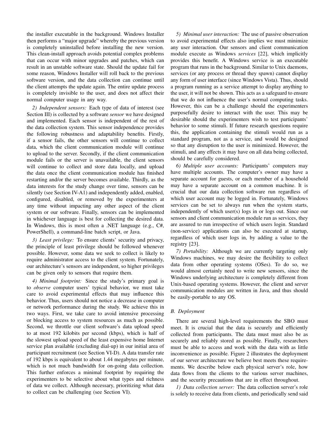the installer executable in the background. Windows Installer then performs a "major upgrade" whereby the previous version is completely uninstalled before installing the new version. This clean-install approach avoids potential complex problems that can occur with minor upgrades and patches, which can result in an unstable software state. Should the update fail for some reason, Windows Installer will roll back to the previous software version, and the data collection can continue until the client attempts the update again. The entire update process is completely invisible to the user, and does not affect their normal computer usage in any way.

*2) Independent sensors:* Each type of data of interest (see Section [III\)](#page-2-1) is collected by a software *sensor* we have designed and implemented. Each sensor is independent of the rest of the data collection system. This sensor independence provides the following robustness and adaptability benefits. Firstly, if a sensor fails, the other sensors will continue to collect data, which the client communication module will continue to upload to the server. Secondly, if the client communication module fails or the server is unavailable, the client sensors will continue to collect and store data locally, and upload the data once the client communication module has finished restarting and/or the server becomes available. Thirdly, as the data interests for the study change over time, sensors can be silently (see Section [IV-A1\)](#page-3-7) and independently added, enabled, configured, disabled, or removed by the experimenters at any time without impacting any other aspect of the client system or our software. Finally, sensors can be implemented in whichever language is best for collecting the desired data. In Windows, this is most often a .NET language (e.g., C#, PowerShell), a command-line batch script, or Java.

*3) Least privilege:* To ensure clients' security and privacy, the principle of least privilege should be followed whenever possible. However, some data we seek to collect is likely to require administrator access to the client system. Fortunately, our architecture's sensors are independent, so higher privileges can be given only to sensors that require them.

<span id="page-4-3"></span>*4) Minimal footprint:* Since the study's primary goal is to *observe* computer users' typical behavior, we must take care to avoid experimental effects that may influence this behavior. Thus, users should not notice a decrease in computer or network performance during the study. We achieve this in two ways. First, we take care to avoid intensive processing or blocking access to system resources as much as possible. Second, we throttle our client software's data upload speed to at most 192 kilobits per second (kbps), which is half of the slowest upload speed of the least expensive home Internet service plan available (excluding dial-up) in our initial area of participant recruitment (see Section [VI-D\)](#page-7-0). A data transfer rate of 192 kbps is equivalent to about 1.44 megabytes per minute, which is not much bandwidth for on-going data collection. This further enforces a minimal footprint by requiring the experimenters to be selective about what types and richness of data we collect. Although necessary, prioritizing what data to collect can be challenging (see Section [VI\)](#page-6-0).

*5) Minimal user interaction:* The use of passive observation to avoid experimental effects also implies we must minimize any user interaction. Our sensors and client communication module execute as Windows *services* [\[22\]](#page-10-21), which implicitly provides this benefit. A Windows service is an executable program that runs in the background. Similar to Unix daemons, services (or any process or thread they spawn) cannot display any form of user interface (since Windows Vista). Thus, should a program running as a service attempt to display anything to the user, it will not be shown. This acts as a safeguard to ensure that we do not influence the user's normal computing tasks. However, this can be a challenge should the experimenters purposefully desire to interact with the user. This may be desirable should the experimenters wish to test participants' behavior to some stimuli. If future research questions require this, the application containing the stimuli would run as a standard program, not as a service, and would be designed so that any disruption to the user is minimized. However, the stimuli, and any effects it may have on all data being collected, should be carefully considered.

*6) Multiple user accounts:* Participants' computers may have multiple accounts. The computer's owner may have a separate account for guests, or each member of a household may have a separate account on a common machine. It is crucial that our data collection software run regardless of which user account may be logged in. Fortunately, Windows services can be set to always run when the system starts, independently of which user(s) logs in or logs out. Since our sensors and client communication module run as services, they are assured to run irrespective of which users login. Standard (non-service) applications can also be executed at startup, regardless of which user logs in, by adding a value to the registry [\[23\]](#page-10-22).

<span id="page-4-0"></span>*7) Portability:* Although we are currently targeting only Windows machines, we may desire the flexibility to collect data from other operating systems (OSes). To do so, we would almost certainly need to write new sensors, since the Windows underlying architecture is completely different from Unix-based operating systems. However, the client and server communication modules are written in Java, and thus should be easily-portable to any OS.

# <span id="page-4-1"></span>*B. Deployment*

There are several high-level requirements the SBO must meet. It is crucial that the data is securely and efficiently collected from participants. The data must must also be as securely and reliably stored as possible. Finally, researchers must be able to access and work with the data with as little inconvenience as possible. Figure [2](#page-5-0) illustrates the deployment of our server architecture we believe best meets these requirements. We describe below each physical server's role, how data flows from the clients to the various server machines, and the security precautions that are in effect throughout.

<span id="page-4-2"></span>*1) Data collection server:* The data collection server's role is solely to receive data from clients, and periodically send said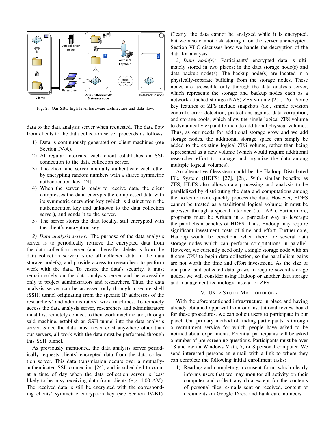

<span id="page-5-0"></span>Fig. 2. Our SBO high-level hardware architecture and data flow.

data to the data analysis server when requested. The data flow from clients to the data collection server proceeds as follows:

- 1) Data is continuously generated on client machines (see Section [IV-A\)](#page-3-6).
- 2) At regular intervals, each client establishes an SSL connection to the data collection server.
- 3) The client and server mutually authenticate each other by encrypting random numbers with a shared symmetric authentication key [\[24\]](#page-10-23).
- 4) When the server is ready to receive data, the client compresses the data, encrypts the compressed data with its symmetric encryption key (which is distinct from the authentication key and unknown to the data collection server), and sends it to the server.
- 5) The server stores the data locally, still encrypted with the client's encryption key.

<span id="page-5-2"></span>*2) Data analysis server:* The purpose of the data analysis server is to periodically retrieve the encrypted data from the data collection server (and thereafter delete is from the data collection server), store all collected data in the data storage node(s), and provide access to researchers to perform work with the data. To ensure the data's security, it must remain solely on the data analysis server and be accessible only to project administrators and researchers. Thus, the data analysis server can be accessed only through a secure shell (SSH) tunnel originating from the specific IP addresses of the researchers' and administrators' work machines. To remotely access the data analysis server, researchers and administrators must first remotely connect to their work machine and, through said machine, establish an SSH tunnel into the data analysis server. Since the data must never exist anywhere other than our servers, all work with the data must be performed through this SSH tunnel.

As previously mentioned, the data analysis server periodically requests clients' encrypted data from the data collection server. This data transmission occurs over a mutuallyauthenticated SSL connection [\[24\]](#page-10-23), and is scheduled to occur at a time of day when the data collection server is least likely to be busy receiving data from clients (e.g. 4:00 AM). The received data is still be encrypted with the corresponding clients' symmetric encryption key (see Section [IV-B1\)](#page-4-2). Clearly, the data cannot be analyzed while it is encrypted, but we also cannot risk storing it on the server unencrypted. Section [VI-C](#page-6-1) discusses how we handle the decryption of the data for analysis.

*3) Data node(s):* Participants' encrypted data is ultimately stored in two places; in the data storage node(s) and data backup node(s). The backup node(s) are located in a physically-separate building from the storage nodes. These nodes are accessible only through the data analysis server, which represents the storage and backup nodes each as a network-attached storage (NAS) ZFS volume [\[25\]](#page-10-24), [\[26\]](#page-10-25). Some key features of ZFS include snapshots (i.e., simple revision control), error detection, protections against data corruption, and storage pools, which allow the single logical ZFS volume to dynamically expand to include additional physical volumes. Thus, as our needs for additional storage grow and we add storage nodes, the additional storage space can simply be added to the existing logical ZFS volume, rather than being represented as a new volume (which would require additional researcher effort to manage and organize the data among multiple logical volumes).

An alternative filesystem could be the Hadoop Distributed File System (HDFS) [\[27\]](#page-10-26), [\[28\]](#page-10-27). With similar benefits as ZFS, HDFS also allows data processing and analysis to be parallelized by distributing the data and computations among the nodes to more quickly process the data. However, HDFS cannot be treated as a traditional logical volume; it must be accessed through a special interface (i.e., API). Furthermore, programs must be written in a particular way to leverage the parallelism benefits of HDFS. Thus, Hadoop may require significant investment costs of time and effort. Furthermore, Hadoop would be beneficial when there are several data storage nodes which can perform computations in parallel. However, we currently need only a single storage node with an 8-core CPU to begin data collection, so the parallelism gains are not worth the time and effort investment. As the size of our panel and collected data grows to require several storage nodes, we will consider using Hadoop or another data storage and management technology instead of ZFS.

## V. USER STUDY METHODOLOGY

<span id="page-5-1"></span>With the aforementioned infrastructure in place and having already obtained approval from our institutional review board for these procedures, we can solicit users to participate in our panel. Our primary method of finding participants is through a recruitment service for which people have asked to be notified about experiments. Potential participants will be asked a number of pre-screening questions. Participants must be over 18 and own a Windows Vista, 7, or 8 personal computer. We send interested persons an e-mail with a link to where they can complete the following initial enrollment tasks:

1) Reading and completing a consent form, which clearly informs users that we may monitor all activity on their computer and collect any data except for the contents of personal files, e-mails sent or received, content of documents on Google Docs, and bank card numbers.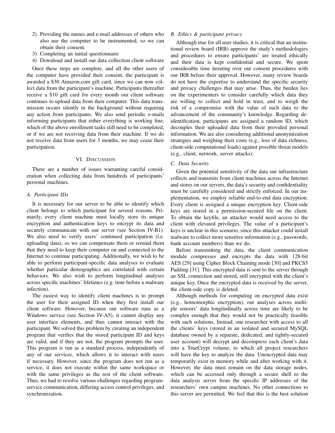- 2) Providing the names and e-mail addresses of others who also use the computer to be instrumented, so we can obtain their consent.
- 3) Completing an initial questionnaire
- 4) Download and install our data collection client software

Once these steps are complete, and all the other users of the computer have provided their consent, the participant is awarded a \$30 Amazon.com gift card, since we can now collect data from the participant's machine. Participants thereafter receive a \$10 gift card for every month our client software continues to upload data from their computer. This data transmission occurs silently in the background without requiring any action from participants. We also send periodic e-mails informing participants that either everything is working fine, which of the above enrollment tasks still need to be completed, or if we are not receiving data from their machine. If we do not receive data from users for 3 months, we may cease their participation.

## VI. DISCUSSION

<span id="page-6-0"></span>There are a number of issues warranting careful consideration when collecting data from hundreds of participants' personal machines.

# *A. Participant IDs*

It is necessary for our server to be able to identify which client belongs to which participant for several reasons. Primarily, every client machine must locally store its unique encryption and authentication keys to encrypt its data and securely communicate with our server (see Section [IV-B1\)](#page-4-2). We also need to verify users' continued participation (i.e. uploading data), so we can compensate them or remind them that they need to keep their computer on and connected to the Internet to continue participating. Additionally, we wish to be able to perform participant-specific data analyses to evaluate whether particular demographics are correlated with certain behaviors. We also wish to perform longitudinal analyses across specific machines' lifetimes (e.g. time before a malware infection).

The easiest way to identify client machines is to prompt the user for their assigned ID when they first install our client software. However, because our software runs as a Windows service (see Section [IV-A5\)](#page-4-3), it cannot display any user interface elements, and thus cannot interact with the participant. We solved this problem by creating an independent program that verifies that the stored participant ID and keys are valid, and if they are not, the program prompts the user. This program is run as a standard process, independently of any of our services, which allows it to interact with users if necessary. However, since the program does not run as a service, it does not execute within the same workspace or with the same privileges as the rest of the client software. Thus, we had to resolve various challenges regarding programservice communication, differing access control privileges, and synchronization.

## <span id="page-6-2"></span>*B. Ethics & participant privacy*

Although true for all user studies, it is critical that an institutional review board (IRB) approve the study's methodologies and procedures to ensure participants' are treated ethically and their data is kept confidential and secure. We spent considerable time iterating over our consent procedures with our IRB before their approval. However, many review boards do not have the expertise to understand the specific security and privacy challenges that may arise. Thus, the burden lies on the experimenters to consider carefully which data they are willing to collect and hold in trust, and to weigh the risk of a compromise with the value of such data to the advancement of the community's knowledge. Regarding deidentification, participants are assigned a random ID, which decouples their uploaded data from their provided personal information. We are also considering additional anonymization strategies and weighing their costs (e.g., loss of data richness, client-side computational loads) against possible threat models (e.g., client, network, server attacks).

#### <span id="page-6-1"></span>*C. Data Security*

Given the potential sensitivity of the data our infrastructure collects and transmits from client machines across the Internet and stores on our servers, the data's security and confidentiality must be carefully considered and strictly enforced. In our implementation, we employ reliable end-to-end data encryption. Every client is assigned a unique encryption key. Client-side keys are stored in a permission-secured file on the client. To obtain the keyfile, an attacker would need access to the client with elevated privileges. The value of a participant's keys is unclear in this scenario, since this attacker could install malware to collect more sensitive information (e.g., passwords, bank account numbers) than we do.

Before transmitting the data, the client communication module compresses and encrypts the data with 128-bit AES [\[29\]](#page-10-28) using Cipher Block Chaining mode [\[30\]](#page-10-29) and PKCS5 Padding [\[31\]](#page-10-30). This encrypted data is sent to the server through an SSL connection and stored, still encrypted with the client's unique key. Once the encrypted data is received by the server, the client-side copy is deleted.

Although methods for computing on encrypted data exist (e.g., homomorphic encryption), our analyses across multiple sensors' data longitudinally across time are likely to be complex enough that they would not be practically feasible with such solutions. Instead, one researcher with access to all the clients' keys (stored in an isolated and secured MySQL database owned by a separate, dedicated, and tightly-secured user account) will decrypt and decompress each client's data into a TrueCrypt volume, to which all project researchers will have the key to analyze the data. Unencrypted data may temporarily exist in memory while and after working with it. However, the data must remain on the data storage nodes, which can be accessed only through a secure shell to the data analysis server from the specific IP addresses of the researchers' own campus machines. No other connections to this server are permitted. We feel that this is the best solution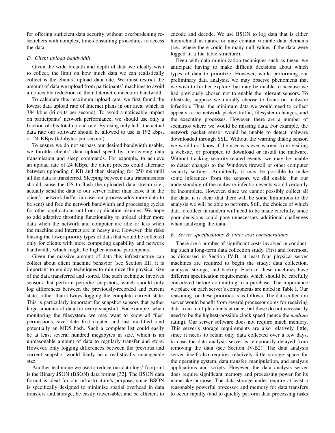for offering sufficient data security without overburdening researchers with complex, time-consuming procedures to access the data.

# <span id="page-7-0"></span>*D. Client upload bandwidth*

Given the wide breadth and depth of data we ideally wish to collect, the limit on how much data we can realistically collect is the clients' upload data rate. We must restrict the amount of data we upload from participants' machines to avoid a noticeable reduction of their Internet connection bandwidth.

To calculate this maximum upload rate, we first found the lowest data upload rate of Internet plans in our area, which is 384 kbps (kilobits per second). To avoid a noticeable impact on participants' network performance, we should use only a fraction of this total upload rate. By using only half, the actual data rate our software should be allowed to use is 192 kbps, or 24 KBps (kilobytes per second).

To ensure we do not surpass our desired bandwidth usable, we throttle clients' data upload speed by interleaving data transmission and sleep commands. For example, to achieve an upload rate of 24 KBps, the client process could alternate between uploading 6 KB and then sleeping for 250 ms until all the data is transferred. Sleeping between data transmissions should cause the OS to flush the uploaded data stream (i.e., actually send the data to our server rather than leave it in the client's network buffer in case our process adds more data to be sent) and free the network bandwidth and processing cycles for other applications until our application resumes. We hope to add adaptive throttling functionality to upload either more data when the network and computer are idle or less when the machine and Internet are in heavy use. However, this risks biasing the lower-priority types of data that would be collected only for clients with more computing capability and network bandwidth, which might be higher-income participants.

Given the massive amount of data this infrastructure can collect about client machine behavior (see Section [III\)](#page-2-1), it is important to employ techniques to minimize the physical size of the data transferred and stored. One such technique involves sensors that perform periodic snapshots, which should only log differences between the previously-recorded and current state, rather than always logging the complete current state. This is particularly important for snapshot sensors that gather large amounts of data for every snapshot. For example, when monitoring the filesystem, we may want to know all files' permissions, size, date first created and last modified, and potentially an MD5 hash. Such a complete list could easily be at least several hundred megabytes in size, which is an unreasonable amount of data to regularly transfer and store. However, only logging differences between the previous and current snapshot would likely be a realistically manageable size.

Another technique we use to reduce our data logs' footprint is the Binary JSON (BSON) data format [\[32\]](#page-10-31). The BSON data format is ideal for our infrastructure's purpose, since BSON is specifically designed to minimize spatial overhead in data transfers and storage, be easily traversable, and be efficient to

encode and decode. We use BSON to log data that is either hierarchical in nature or may contain variable data elements (i.e., where there could be many null values if the data were logged in a flat table structure).

Even with data minimization techniques such as these, we anticipate having to make difficult decisions about which types of data to prioritize. However, while performing our preliminary data analysis, we may observe phenomena that we wish to further explore, but may be unable to because we had previously chosen not to enable the relevant sensors. To illustrate, suppose we initially choose to focus on malware infection. Thus, the minimum data we would need to collect appears to be network packet traffic, filesystem changes, and the executing processes. However, there are a number of scenarios where we would be missing data. For example, the network packet sensor would be unable to detect malware downloaded through SSL. Without the warning dialog sensor, we would not know if the user was ever warned from visiting a website, or prompted to download or install the malware. Without tracking security-related events, we may be unable to detect changes to the Windows firewall or other computer security settings. Admittedly, it may be possible to make some inferences from the sensors we did enable, but our understanding of the malware-infection events would certainly be incomplete. However, since we cannot possibly collect all the data, it is clear that there will be some limitations to the analysis we will be able to perform. Still, the choices of which data to collect in tandem will need to be made carefully, since poor decisions could pose unnecessary additional challenges when analyzing the data.

## *E. Server specifications & other cost considerations*

There are a number of significant costs involved in conducting such a long-term data collection study. First and foremost, as discussed in Section [IV-B,](#page-4-1) at least four physical server machines are required to begin the study; data collection, analysis, storage, and backup. Each of these machines have different specification requirements which should be carefully considered before committing to a purchase. The importance we place on each server's components are noted in Table [I.](#page-8-1) Our reasoning for these priorities is as follows. The data collection server would benefit from several processor cores for receiving data from multiple clients at once, but these do not necessarily need to be the highest-possible clock speed (hence the *medium* rating). Our server software does not require much memory. This server's storage requirements are also relatively little, since it needs to retain only data collected over a few days, in case the data analysis server is temporarily delayed from removing the data (see Section [IV-B2\)](#page-5-2). The data analysis server itself also requires relatively little storage space for the operating system, data transfer, manipulation, and analysis applications and scripts. However, the data analysis server does require significant memory and processing power for its namesake purpose. The data storage nodes require at least a reasonably powerful processor and memory for data transfers to occur rapidly (and to quickly perform data processing tasks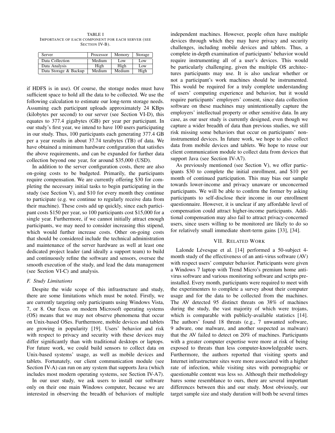<span id="page-8-1"></span>TABLE I IMPORTANCE OF EACH COMPONENT FOR EACH SERVER (SEE SECTION [IV-B\)](#page-4-1).

| Server                | Processor | Memory | Storage |
|-----------------------|-----------|--------|---------|
| Data Collection       | Medium    | Low    | Low     |
| Data Analysis         | High      | High   | Low     |
| Data Storage & Backup | Medium    | Medium | High    |

if HDFS is in use). Of course, the storage nodes must have sufficient space to hold all the data to be collected. We use the following calculation to estimate our long-term storage needs. Assuming each participant uploads approximately 24 KBps (kilobytes per second) to our server (see Section [VI-D\)](#page-7-0), this equates to 377.4 gigabytes (GB) per year per participant. In our study's first year, we intend to have 100 users participating in our study. Thus, 100 participants each generating 377.4 GB per a year results in about 37.74 terabytes (TB) of data. We have obtained a minimum hardware configuration that satisfies the above requirements, and can be expanded for further data collection beyond one year, for around \$35,000 (USD).

In addition to the server configuration costs, there are also on-going costs to be budgeted. Primarily, the participants require compensation. We are currently offering \$30 for completing the necessary initial tasks to begin participating in the study (see Section [V\)](#page-5-1), and \$10 for every month they continue to participate (e.g. we continue to regularly receive data from their machine). These costs add up quickly, since each participant costs \$150 per year, so 100 participants cost \$15,000 for a single year. Furthermore, if we cannot initially attract enough participants, we may need to consider increasing this stipend, which would further increase costs. Other on-going costs that should be considered include the technical administration and maintenance of the server hardware as well at least one dedicated project leader (and ideally a support team) to build and continuously refine the software and sensors, oversee the smooth execution of the study, and lead the data management (see Section [VI-C\)](#page-6-1) and analysis.

## *F. Study Limitations*

Despite the wide scope of this infrastructure and study, there are some limitations which must be noted. Firstly, we are currently targeting only participants using Windows Vista, 7, or 8. Our focus on modern Microsoft operating systems (OS) means that we may not observe phenomena that occur on Unix-based OSes. Furthermore, mobile devices and tablets are growing in popularity [\[19\]](#page-10-18). Users' behavior and risk with respect to privacy and security with these devices may differ significantly than with traditional desktops or laptops. For future work, we could build sensors to collect data on Unix-based systems' usage, as well as mobile devices and tablets. Fortunately, our client communication module (see Section [IV-A\)](#page-3-6) can run on any system that supports Java (which includes most modern operating systems, see Section [IV-A7\)](#page-4-0).

In our user study, we ask users to install our software only on their one main Windows computer, because we are interested in observing the breadth of behaviors of multiple independent machines. However, people often have multiple devices through which they may have privacy and security challenges, including mobile devices and tablets. Thus, a complete in-depth examination of participants' behavior would require instrumenting all of a user's devices. This would be particularly challenging, given the multiple OS architectures participants may use. It is also unclear whether or not a participant's work machines should be instrumented. This would be required for a truly complete understanding of users' computing experience and behavior, but it would require participants' employers' consent, since data collection software on these machines may unintentionally capture the employers' intellectual property or other sensitive data. In any case, as our user study is currently designed, even though we capture a wider breadth of data than previous studies, we still risk missing some behaviors that occur on participants' noninstrumented devices. In future work, we hope to also collect data from mobile devices and tablets. We hope to reuse our client communication module to collect data from devices that support Java (see Section [IV-A7\)](#page-4-0).

As previously mentioned (see Section [V\)](#page-5-1), we offer participants \$30 to complete the initial enrollment, and \$10 per month of continued participation. This may bias our sample towards lower-income and privacy unaware or unconcerned participants. We will be able to confirm the former by asking participants to self-disclose their income in our enrollment questionnaire. However, it is unclear if any affordable level of compensation could attract higher-income participants. Additional compensation may also fail to attract privacy-concerned users, since users willing to be monitored are likely to do so for relatively small immediate short-term gains [\[33\]](#page-10-32), [\[34\]](#page-10-33).

#### VII. RELATED WORK

<span id="page-8-0"></span>Lalonde Lévesque et al. [\[14\]](#page-10-13) performed a 50-subject 4month study of the effectiveness of an anti-virus software (AV) with respect users' computer behavior. Participants were given a Windows 7 laptop with Trend Micro's premium home antivirus software and various monitoring software and scripts preinstalled. Every month, participants were required to meet with the experimenters to complete a survey about their computer usage and for the data to be collected from the machines. The AV detected 95 distinct threats on 38% of machines during the study, the vast majority of which were trojans, which is comparable with publicly-available statistics [\[14\]](#page-10-13). The authors' found 18 threats (e.g., 7 unwanted software, 9 adware, one malware, and another suspected as malware) that the AV failed to detect on 20% of machines. Participants with a greater computer expertise were more at risk of being exposed to threats than less computer-knowledgeable users. Furthermore, the authors reported that visiting sports and Internet infrastructure sites were more associated with a higher rate of infection, while visiting sites with pornographic or questionable content was less so. Although their methodology bares some resemblance to ours, there are several important differences between this and our study. Most obviously, our target sample size and study duration will both be several times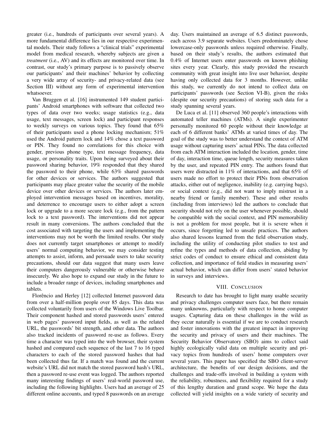greater (i.e., hundreds of participants over several years). A more fundamental difference lies in our respective experimental models. Their study follows a "clinical trials" experimental model from medical research, whereby subjects are given a *treatment* (i.e., AV) and its effects are monitored over time. In contrast, our study's primary purpose is to passively observe our participants' and their machines' behavior by collecting a very wide array of security- and privacy-related data (see Section [III\)](#page-2-1) without any form of experimental intervention whatsoever.

Van Bruggen et al. [\[16\]](#page-10-15) instrumented 149 student participants' Android smartphones with software that collected two types of data over two weeks; usage statistics (e.g., data usage, text messages, screen lock) and participant responses to weekly surveys on various topics. They found that 65% of their participants used a phone locking mechanism; 51% used the Android pattern lock and 14% chose a text password or PIN. They found no correlations for this choice with gender, previous phone type, text message frequency, data usage, or personality traits. Upon being surveyed about their password sharing behavior, 19% responded that they shared the password to their phone, while 63% shared passwords for other devices or services. The authors suggested that participants may place greater value the security of the mobile device over other devices or services. The authors later employed intervention messages based on incentives, morality, and deterrence to encourage users to either adopt a screen lock or upgrade to a more secure lock (e.g., from the pattern lock to a text password). The interventions did not appear result in many conversions. The authors concluded that the cost associated with targeting the users and implementing the interventions may not be worth the limited results. Our study does not currently target smartphones or attempt to modify users' normal computing behavior, we may consider testing attempts to assist, inform, and persuade users to take security precautions, should our data suggest that many users leave their computers dangerously vulnerable or otherwise behave insecurely. We also hope to expand our study in the future to include a broader range of devices, including smartphones and tablets.

Florêncio and Herley [\[12\]](#page-10-11) collected Internet password data from over a half-million people over 85 days. This data was collected voluntarily from users of the Windows Live Toolbar. Their component hashed and stored passwords users' entered in web pages' password input fields, as well as the related URL, the passwords' bit strength, and other data. The authors also tracked incidents of password re-use as follows. Every time a character was typed into the web browser, their system hashed and compared each sequence of the last 7 to 16 typed characters to each of the stored password hashes that had been collected thus far. If a match was found and the current website's URL did not match the stored password hash's URL, then a password re-use event was logged. The authors reported many interesting findings of users' real-world password use, including the following highlights. Users had an average of 25 different online accounts, and typed 8 passwords on an average day. Users maintained an average of 6.5 distinct passwords, each across 3.9 separate websites. Users predominately chose lowercase-only passwords unless required otherwise. Finally, based on their study's results, the authors estimated that 0.4% of Internet users enter passwords on known phishing sites every year. Clearly, this study provided the research community with great insight into live user behavior, despite having only collected data for 3 months. However, unlike this study, we currently do not intend to collect data on participants' passwords (see Section [VI-B\)](#page-6-2), given the risks (despite our security precautions) of storing such data for a study spanning several years.

De Luca et al. [\[11\]](#page-10-10) observed 360 people's interactions with automated teller machines (ATMs). A single experimenter personally monitored 60 people without their knowledge at each of 6 different banks' ATMs at varied times of day. The goal of the study was to better understand the context of ATM usage without capturing users' actual PINs. The data collected from each ATM interaction included the location, gender, time of day, interaction time, queue length, security measures taken by the user, and repeated PIN entry. The authors found that users were distracted in 11% of interactions, and that 65% of users made no effort to protect their PINs from observation attacks, either out of negligence, inability (e.g. carrying bags), or social context (e.g., did not want to imply mistrust in a nearby friend or family member). These and other results (including from interviews) led the authors to conclude that security should not rely on the user whenever possible, should be compatible with the social context, and PIN memorability is not a problem for most people, but it is severe when it occurs, since forgetting led to unsafe practices. The authors also shared lessons learned from the field observation study, including the utility of conducting pilot studies to test and refine the types and methods of data collection, abiding by strict codes of conduct to ensure ethical and consistent data collection, and importance of field studies in measuring users' actual behavior, which can differ from users' stated behavior in surveys and interviews.

## VIII. CONCLUSION

<span id="page-9-0"></span>Research to date has brought to light many usable security and privacy challenges computer users face, but there remain many unknowns, particularly with respect to home computer usages. Capturing data on these challenges in the wild as they occur naturally is essential if we are to conduct research and foster innovations with the greatest impact in improving the security and privacy of users and their machines. The Security Behavior Observatory (SBO) aims to collect said highly ecologically valid data on multiple security and privacy topics from hundreds of users' home computers over several years. This paper has specified the SBO client-server architecture, the benefits of our design decisions, and the challenges and trade-offs involved in building a system with the reliability, robustness, and flexibility required for a study of this lengthy duration and grand scope. We hope the data collected will yield insights on a wide variety of security and